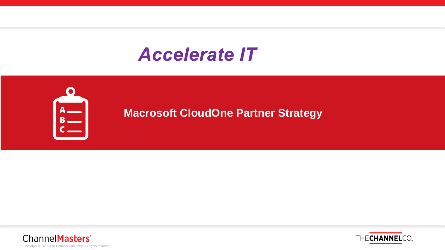## **Accelerate IT**



**Macrosoft CloudOne Partner Strategy**



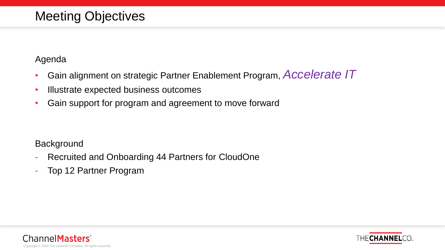#### Meeting Objectives

#### Agenda

- Gain alignment on strategic Partner Enablement Program, *Accelerate IT*
- Illustrate expected business outcomes
- Gain support for program and agreement to move forward

#### **Background**

- Recruited and Onboarding 44 Partners for CloudOne
- Top 12 Partner Program



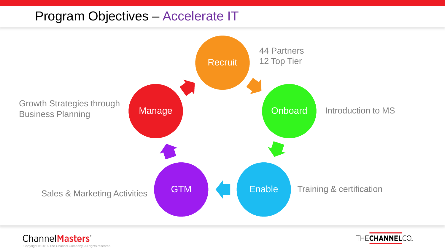#### Program Objectives – Accelerate IT





ChannelMasters<sup>®</sup> Copyright © 2016 The Channel Company, All rights reserved.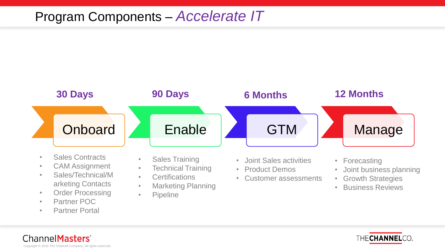### Program Components – *Accelerate IT*



- arketing Contacts • Order Processing
- Partner POC
- Partner Portal
- Marketing Planning
- Pipeline
- Growth Strategies
- Business Reviews



ChannelMasters<sup>®</sup> Copyright © 2016 The Channel Company, All rights reserved.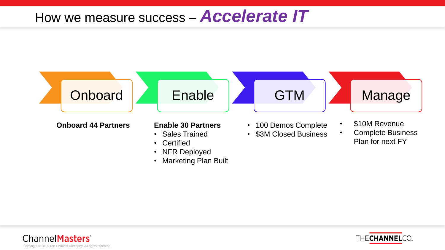## How we measure success – *Accelerate IT*





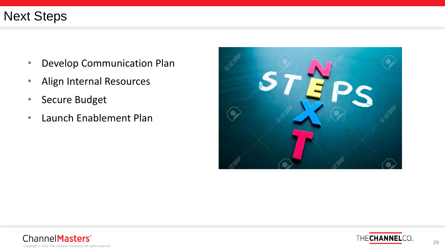#### Next Steps

- Develop Communication Plan
- Align Internal Resources
- Secure Budget
- Launch Enablement Plan